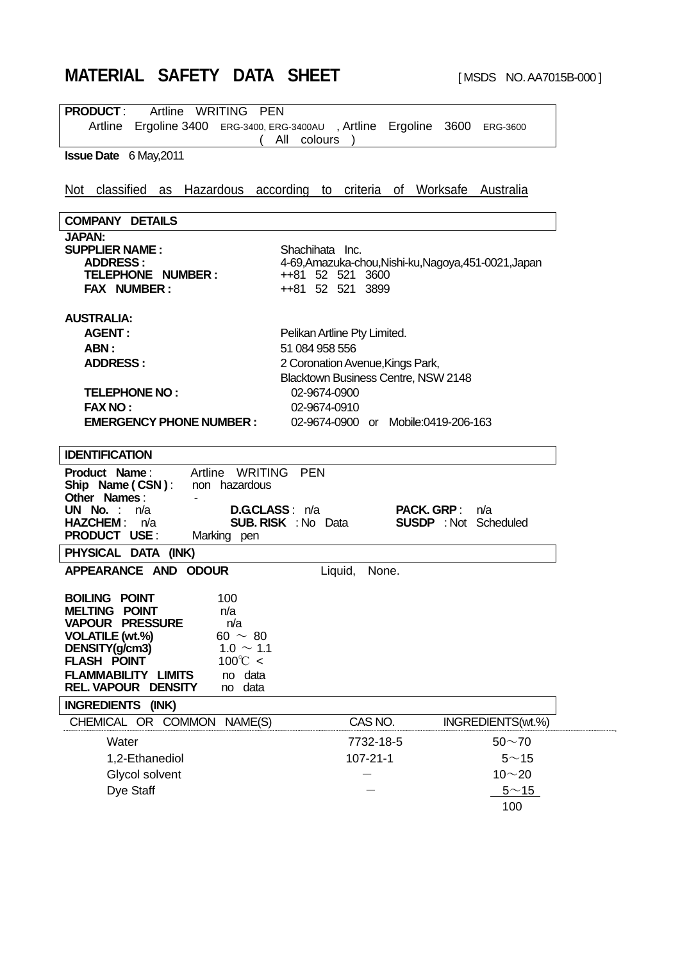# **MATERIAL SAFETY DATA SHEET** [MSDS NO. AA7015B-000]

|                                                                             | <b>PEN</b>                                                                                              |
|-----------------------------------------------------------------------------|---------------------------------------------------------------------------------------------------------|
|                                                                             | Artline Ergoline 3400 ERG-3400, ERG-3400AU, Artline Ergoline 3600 ERG-3600                              |
|                                                                             | All colours                                                                                             |
| <b>Issue Date</b> 6 May, 2011                                               |                                                                                                         |
|                                                                             |                                                                                                         |
| Not                                                                         | classified as Hazardous according to criteria of Worksafe Australia                                     |
|                                                                             |                                                                                                         |
| <b>COMPANY DETAILS</b>                                                      |                                                                                                         |
| <b>JAPAN:</b>                                                               |                                                                                                         |
| <b>SUPPLIER NAME:</b>                                                       | Shachihata Inc.                                                                                         |
| <b>ADDRESS:</b>                                                             | 4-69, Amazuka-chou, Nishi-ku, Nagoya, 451-0021, Japan                                                   |
| TELEPHONE NUMBER:<br><b>FAX NUMBER:</b>                                     | ++81 52 521 3600<br>++81 52 521 3899                                                                    |
|                                                                             |                                                                                                         |
| <b>AUSTRALIA:</b>                                                           |                                                                                                         |
| <b>AGENT:</b>                                                               | Pelikan Artline Pty Limited.                                                                            |
| ABN:                                                                        | 51 084 958 556                                                                                          |
| <b>ADDRESS:</b>                                                             | 2 Coronation Avenue, Kings Park,                                                                        |
|                                                                             | Blacktown Business Centre, NSW 2148                                                                     |
| <b>TELEPHONE NO:</b>                                                        | 02-9674-0900                                                                                            |
| <b>FAX NO:</b>                                                              | 02-9674-0910                                                                                            |
| <b>EMERGENCY PHONE NUMBER:</b>                                              | 02-9674-0900 or Mobile:0419-206-163                                                                     |
|                                                                             |                                                                                                         |
| <b>IDENTIFICATION</b>                                                       |                                                                                                         |
| Artline WRITING<br>Product Name:                                            | PEN                                                                                                     |
| Ship Name (CSN):<br>non hazardous                                           |                                                                                                         |
|                                                                             |                                                                                                         |
| Other Names:                                                                |                                                                                                         |
| UN No. :<br>n/a<br><b>HAZCHEM :</b><br>n/a                                  | D.GCLASS: n/a<br><b>PACK. GRP:</b><br>n/a<br><b>SUB. RISK : No Data</b><br><b>SUSDP</b> : Not Scheduled |
| <b>PRODUCT USE:</b><br>Marking pen                                          |                                                                                                         |
| PHYSICAL DATA (INK)                                                         |                                                                                                         |
| APPEARANCE AND ODOUR                                                        | None.<br>Liquid,                                                                                        |
|                                                                             |                                                                                                         |
| <b>BOILING POINT</b><br>100                                                 |                                                                                                         |
| MELTING POINT<br>n/a                                                        |                                                                                                         |
| n/a<br><b>VAPOUR PRESSURE</b>                                               |                                                                                                         |
| 60 $\sim$ 80<br><b>VOLATILE (wt.%)</b>                                      |                                                                                                         |
| DENSITY(g/cm3)<br>$1.0 \sim 1.1$<br>$100^{\circ}$ C <<br><b>FLASH POINT</b> |                                                                                                         |
| <b>FLAMMABILITY LIMITS</b><br>no data                                       |                                                                                                         |
| <b>REL. VAPOUR DENSITY</b><br>data<br>no                                    |                                                                                                         |
| INGREDIENTS (INK)                                                           |                                                                                                         |
| CHEMICAL OR COMMON NAME(S)                                                  | CAS NO.<br>INGREDIENTS(wt.%)                                                                            |
| Water                                                                       | 7732-18-5<br>$50 - 70$                                                                                  |
|                                                                             |                                                                                                         |
| 1,2-Ethanediol                                                              | 107-21-1<br>$5^{\sim}$ 15                                                                               |
| Glycol solvent<br>Dye Staff                                                 | $10 - 20$<br>$5^{\sim}$ 15                                                                              |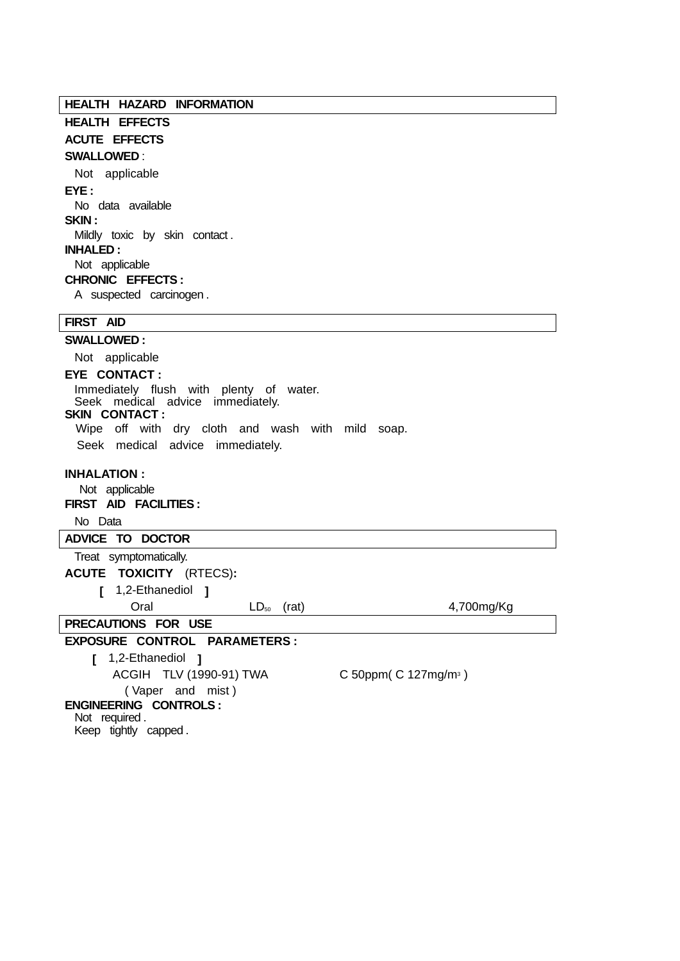**HEALTH HAZARD INFORMATION**

**HEALTH EFFECTS ACUTE EFFECTS** 

## **SWALLOWED** :

 Not applicable **EYE :**  No data available **SKIN :**  Mildly toxic by skin contact . **INHALED :**  Not applicable **CHRONIC EFFECTS :** 

A suspected carcinogen .

## **FIRST AID**

**SWALLOWED :**  Not applicable **EYE CONTACT :**  Immediately flush with plenty of water. Seek medical advice immediately. **SKIN CONTACT :**  Wipe off with dry cloth and wash with mild soap. Seek medical advice immediately. **INHALATION :**  Not applicable **FIRST AID FACILITIES :**  No Data **ADVICE TO DOCTOR**  Treat symptomatically. **ACUTE TOXICITY** (RTECS)**: [** 1,2-Ethanediol **]** Oral LD<sub>50</sub> (rat) 4,700mg/Kg **PRECAUTIONS FOR USE EXPOSURE CONTROL PARAMETERS : [** 1,2-Ethanediol **]** ACGIH TLV (1990-91) TWA C 50ppm( C 127mg/m3 ) ( Vaper and mist ) **ENGINEERING CONTROLS :**  Not required .

Keep tightly capped .